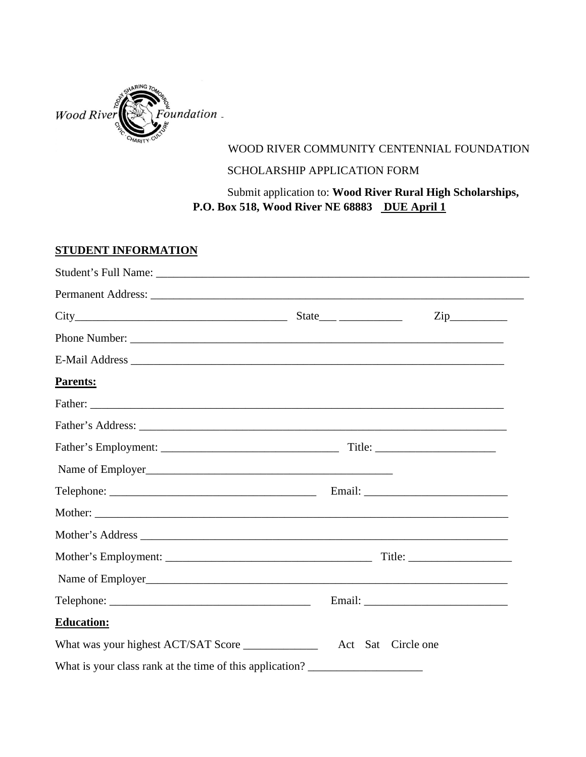

## WOOD RIVER COMMUNITY CENTENNIAL FOUNDATION

## SCHOLARSHIP APPLICATION FORM

Submit application to: **Wood River Rural High Scholarships, P.O. Box 518, Wood River NE 68883 DUE April 1**

## **STUDENT INFORMATION**

|                                                          | $\mathsf{Zip}\_$   |
|----------------------------------------------------------|--------------------|
| Phone Number:                                            |                    |
|                                                          |                    |
| <b>Parents:</b>                                          |                    |
|                                                          |                    |
|                                                          |                    |
|                                                          |                    |
| Name of Employer                                         |                    |
|                                                          |                    |
|                                                          |                    |
|                                                          |                    |
|                                                          |                    |
| Name of Employer<br><u>Name of Employer</u>              |                    |
|                                                          |                    |
| <b>Education:</b>                                        |                    |
| What was your highest ACT/SAT Score                      | Act Sat Circle one |
| What is your class rank at the time of this application? |                    |